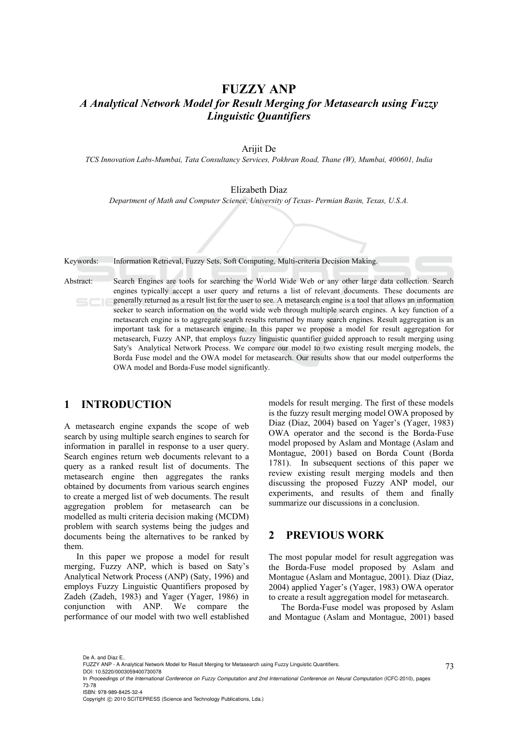# **FUZZY ANP** *A Analytical Network Model for Result Merging for Metasearch using Fuzzy Linguistic Quantifiers*

Arijit De

*TCS Innovation Labs-Mumbai, Tata Consultancy Services, Pokhran Road, Thane (W), Mumbai, 400601, India* 

#### Elizabeth Diaz

*Department of Math and Computer Science, University of Texas- Permian Basin, Texas, U.S.A.* 

Keywords: Information Retrieval, Fuzzy Sets, Soft Computing, Multi-criteria Decision Making.

Abstract: Search Engines are tools for searching the World Wide Web or any other large data collection. Search engines typically accept a user query and returns a list of relevant documents. These documents are generally returned as a result list for the user to see. A metasearch engine is a tool that allows an information seeker to search information on the world wide web through multiple search engines. A key function of a metasearch engine is to aggregate search results returned by many search engines. Result aggregation is an important task for a metasearch engine. In this paper we propose a model for result aggregation for metasearch, Fuzzy ANP, that employs fuzzy linguistic quantifier guided approach to result merging using Saty's Analytical Network Process. We compare our model to two existing result merging models, the Borda Fuse model and the OWA model for metasearch. Our results show that our model outperforms the OWA model and Borda-Fuse model significantly.

## **1 INTRODUCTION**

A metasearch engine expands the scope of web search by using multiple search engines to search for information in parallel in response to a user query. Search engines return web documents relevant to a query as a ranked result list of documents. The metasearch engine then aggregates the ranks obtained by documents from various search engines to create a merged list of web documents. The result aggregation problem for metasearch can be modelled as multi criteria decision making (MCDM) problem with search systems being the judges and documents being the alternatives to be ranked by them.

In this paper we propose a model for result merging, Fuzzy ANP, which is based on Saty's Analytical Network Process (ANP) (Saty, 1996) and employs Fuzzy Linguistic Quantifiers proposed by Zadeh (Zadeh, 1983) and Yager (Yager, 1986) in conjunction with ANP. We compare the performance of our model with two well established

models for result merging. The first of these models is the fuzzy result merging model OWA proposed by Diaz (Diaz, 2004) based on Yager's (Yager, 1983) OWA operator and the second is the Borda-Fuse model proposed by Aslam and Montage (Aslam and Montague, 2001) based on Borda Count (Borda 1781). In subsequent sections of this paper we review existing result merging models and then discussing the proposed Fuzzy ANP model, our experiments, and results of them and finally summarize our discussions in a conclusion.

## **2 PREVIOUS WORK**

The most popular model for result aggregation was the Borda-Fuse model proposed by Aslam and Montague (Aslam and Montague, 2001). Diaz (Diaz, 2004) applied Yager's (Yager, 1983) OWA operator to create a result aggregation model for metasearch.

The Borda-Fuse model was proposed by Aslam and Montague (Aslam and Montague, 2001) based

De A. and Diaz E..

In *Proceedings of the International Conference on Fuzzy Computation and 2nd International Conference on Neural Computation* (ICFC-2010), pages 73-78 ISBN: 978-989-8425-32-4

FUZZY ANP - A Analytical Network Model for Result Merging for Metasearch using Fuzzy Linguistic Quantifiers. DOI: 10.5220/0003059400730078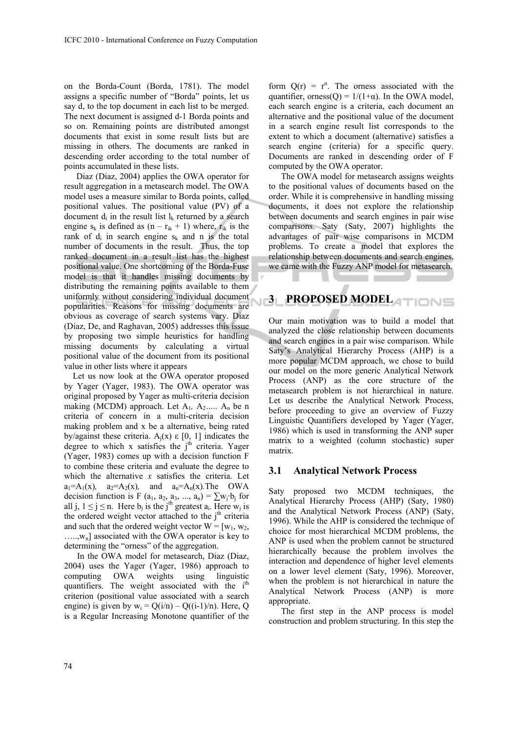on the Borda-Count (Borda, 1781). The model assigns a specific number of "Borda" points, let us say d, to the top document in each list to be merged. The next document is assigned d-1 Borda points and so on. Remaining points are distributed amongst documents that exist in some result lists but are missing in others. The documents are ranked in descending order according to the total number of points accumulated in these lists.

Diaz (Diaz, 2004) applies the OWA operator for result aggregation in a metasearch model. The OWA model uses a measure similar to Borda points, called positional values. The positional value (PV) of a document  $d_i$  in the result list  $l_k$  returned by a search engine  $s_k$  is defined as  $(n - r_{ik} + 1)$  where,  $r_{ik}$  is the rank of  $d_i$  in search engine  $s_k$  and n is the total number of documents in the result. Thus, the top ranked document in a result list has the highest positional value. One shortcoming of the Borda-Fuse model is that it handles missing documents by distributing the remaining points available to them uniformly without considering individual document popularities. Reasons for missing documents are obvious as coverage of search systems vary. Diaz (Diaz, De, and Raghavan, 2005) addresses this issue by proposing two simple heuristics for handling missing documents by calculating a virtual positional value of the document from its positional value in other lists where it appears

Let us now look at the OWA operator proposed by Yager (Yager, 1983). The OWA operator was original proposed by Yager as multi-criteria decision making (MCDM) approach. Let A<sub>1</sub>, A<sub>2</sub>...., A<sub>n</sub> be n criteria of concern in a multi-criteria decision making problem and x be a alternative, being rated by/against these criteria. A<sub>i</sub>(x) ε [0, 1] indicates the degree to which x satisfies the  $i<sup>th</sup>$  criteria. Yager (Yager, 1983) comes up with a decision function F to combine these criteria and evaluate the degree to which the alternative  $x$  satisfies the criteria. Let  $a_1 = A_1(x)$ ,  $a_2 = A_2(x)$ , and  $a_n = A_n(x)$ . The OWA decision function is F (a<sub>1</sub>, a<sub>2</sub>, a<sub>3</sub>, ..., a<sub>n</sub>) =  $\sum w_j \cdot b_j$  for all j,  $1 \le j \le n$ . Here  $b_j$  is the j<sup>th</sup> greatest  $a_i$ . Here  $w_j$  is the ordered weight vector attached to the  $j<sup>th</sup>$  criteria and such that the ordered weight vector  $W = [w_1, w_2,$  $..., w_n$ ] associated with the OWA operator is key to determining the "orness" of the aggregation.

In the OWA model for metasearch, Diaz (Diaz, 2004) uses the Yager (Yager, 1986) approach to computing OWA weights using linguistic quantifiers. The weight associated with the i<sup>th</sup> criterion (positional value associated with a search engine) is given by  $w_i = Q(i/n) - Q((i-1)/n)$ . Here, Q is a Regular Increasing Monotone quantifier of the form  $Q(r) = r^{\alpha}$ . The orness associated with the quantifier, orness(Q) =  $1/(1+\alpha)$ . In the OWA model, each search engine is a criteria, each document an alternative and the positional value of the document in a search engine result list corresponds to the extent to which a document (alternative) satisfies a search engine (criteria) for a specific query. Documents are ranked in descending order of F computed by the OWA operator.

The OWA model for metasearch assigns weights to the positional values of documents based on the order. While it is comprehensive in handling missing documents, it does not explore the relationship between documents and search engines in pair wise comparisons. Saty (Saty, 2007) highlights the advantages of pair wise comparisons in MCDM problems. To create a model that explores the relationship between documents and search engines, we came with the Fuzzy ANP model for metasearch.

# **3 PROPOSED MODEL ATTENTS**

Our main motivation was to build a model that analyzed the close relationship between documents and search engines in a pair wise comparison. While Saty's Analytical Hierarchy Process (AHP) is a more popular MCDM approach, we chose to build our model on the more generic Analytical Network Process (ANP) as the core structure of the metasearch problem is not hierarchical in nature. Let us describe the Analytical Network Process, before proceeding to give an overview of Fuzzy Linguistic Quantifiers developed by Yager (Yager, 1986) which is used in transforming the ANP super matrix to a weighted (column stochastic) super matrix.

#### **3.1 Analytical Network Process**

Saty proposed two MCDM techniques, the Analytical Hierarchy Process (AHP) (Saty, 1980) and the Analytical Network Process (ANP) (Saty, 1996). While the AHP is considered the technique of choice for most hierarchical MCDM problems, the ANP is used when the problem cannot be structured hierarchically because the problem involves the interaction and dependence of higher level elements on a lower level element (Saty, 1996). Moreover, when the problem is not hierarchical in nature the Analytical Network Process (ANP) is more appropriate.

The first step in the ANP process is model construction and problem structuring. In this step the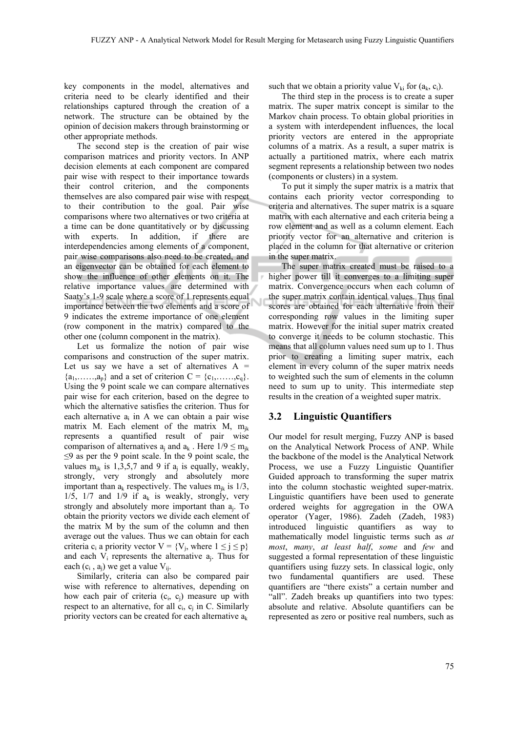key components in the model, alternatives and criteria need to be clearly identified and their relationships captured through the creation of a network. The structure can be obtained by the opinion of decision makers through brainstorming or other appropriate methods.

The second step is the creation of pair wise comparison matrices and priority vectors. In ANP decision elements at each component are compared pair wise with respect to their importance towards their control criterion, and the components themselves are also compared pair wise with respect to their contribution to the goal. Pair wise comparisons where two alternatives or two criteria at a time can be done quantitatively or by discussing with experts. In addition, if there are interdependencies among elements of a component, pair wise comparisons also need to be created, and an eigenvector can be obtained for each element to show the influence of other elements on it. The relative importance values are determined with Saaty's 1-9 scale where a score of 1 represents equal importance between the two elements and a score of 9 indicates the extreme importance of one element (row component in the matrix) compared to the other one (column component in the matrix).

Let us formalize the notion of pair wise comparisons and construction of the super matrix. Let us say we have a set of alternatives  $A =$  ${a_1, \ldots, a_n}$  and a set of criterion  $C = {c_1, \ldots, c_n}$ . Using the 9 point scale we can compare alternatives pair wise for each criterion, based on the degree to which the alternative satisfies the criterion. Thus for each alternative  $a_i$  in A we can obtain a pair wise matrix M. Each element of the matrix M,  $m_{ik}$ represents a quantified result of pair wise comparison of alternatives  $a_i$  and  $a_k$ . Here  $1/9 \le m_{ik}$  $\leq$ 9 as per the 9 point scale. In the 9 point scale, the values  $m_{ik}$  is 1,3,5,7 and 9 if  $a_i$  is equally, weakly, strongly, very strongly and absolutely more important than  $a_k$  respectively. The values  $m_{ik}$  is 1/3, 1/5, 1/7 and 1/9 if  $a_k$  is weakly, strongly, very strongly and absolutely more important than  $a_i$ . To obtain the priority vectors we divide each element of the matrix M by the sum of the column and then average out the values. Thus we can obtain for each criteria c<sub>i</sub> a priority vector  $V = \{V_i, \text{ where } 1 \le j \le p\}$ and each  $V_i$  represents the alternative  $a_i$ . Thus for each  $(c_i, a_j)$  we get a value  $V_{ij}$ .

Similarly, criteria can also be compared pair wise with reference to alternatives, depending on how each pair of criteria  $(c_i, c_j)$  measure up with respect to an alternative, for all  $c_i$ ,  $c_i$  in C. Similarly priority vectors can be created for each alternative  $a_k$ 

such that we obtain a priority value  $V_{ki}$  for  $(a_k, c_i)$ .

The third step in the process is to create a super matrix. The super matrix concept is similar to the Markov chain process. To obtain global priorities in a system with interdependent influences, the local priority vectors are entered in the appropriate columns of a matrix. As a result, a super matrix is actually a partitioned matrix, where each matrix segment represents a relationship between two nodes (components or clusters) in a system.

To put it simply the super matrix is a matrix that contains each priority vector corresponding to criteria and alternatives. The super matrix is a square matrix with each alternative and each criteria being a row element and as well as a column element. Each priority vector for an alternative and criterion is placed in the column for that alternative or criterion in the super matrix.

The super matrix created must be raised to a higher power till it converges to a limiting super matrix. Convergence occurs when each column of the super matrix contain identical values. Thus final scores are obtained for each alternative from their corresponding row values in the limiting super matrix. However for the initial super matrix created to converge it needs to be column stochastic. This means that all column values need sum up to 1. Thus prior to creating a limiting super matrix, each element in every column of the super matrix needs to weighted such the sum of elements in the column need to sum up to unity. This intermediate step results in the creation of a weighted super matrix.

### **3.2 Linguistic Quantifiers**

Our model for result merging, Fuzzy ANP is based on the Analytical Network Process of ANP. While the backbone of the model is the Analytical Network Process, we use a Fuzzy Linguistic Quantifier Guided approach to transforming the super matrix into the column stochastic weighted super-matrix. Linguistic quantifiers have been used to generate ordered weights for aggregation in the OWA operator (Yager, 1986). Zadeh (Zadeh, 1983) introduced linguistic quantifiers as way to mathematically model linguistic terms such as *at most*, *many*, *at least half*, *some* and *few* and suggested a formal representation of these linguistic quantifiers using fuzzy sets. In classical logic, only two fundamental quantifiers are used. These quantifiers are "there exists" a certain number and "all". Zadeh breaks up quantifiers into two types: absolute and relative. Absolute quantifiers can be represented as zero or positive real numbers, such as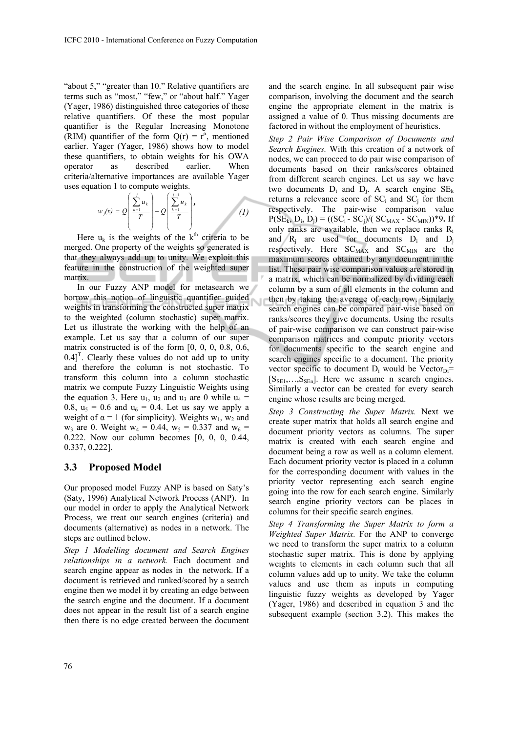"about 5," "greater than 10." Relative quantifiers are terms such as "most," "few," or "about half." Yager (Yager, 1986) distinguished three categories of these relative quantifiers. Of these the most popular quantifier is the Regular Increasing Monotone (RIM) quantifier of the form  $Q(r) = r^{\alpha}$ , mentioned earlier. Yager (Yager, 1986) shows how to model these quantifiers, to obtain weights for his OWA operator as described earlier. When criteria/alternative importances are available Yager uses equation 1 to compute weights.

$$
w_j(x) = Q\left(\frac{\sum_{k=1}^j u_k}{T}\right) - Q\left(\frac{\sum_{k=1}^{j-1} u_k}{T}\right),\tag{1}
$$

Ū

Here  $u_k$  is the weights of the  $k<sup>th</sup>$  criteria to be merged. One property of the weights so generated is that they always add up to unity. We exploit this feature in the construction of the weighted super matrix.

In our Fuzzy ANP model for metasearch we borrow this notion of linguistic quantifier guided weights in transforming the constructed super matrix to the weighted (column stochastic) super matrix. Let us illustrate the working with the help of an example. Let us say that a column of our super matrix constructed is of the form  $[0, 0, 0, 0.8, 0.6,$  $0.4$ <sup>T</sup>. Clearly these values do not add up to unity and therefore the column is not stochastic. To transform this column into a column stochastic matrix we compute Fuzzy Linguistic Weights using the equation 3. Here  $u_1$ ,  $u_2$  and  $u_3$  are 0 while  $u_4$  = 0.8,  $u_5 = 0.6$  and  $u_6 = 0.4$ . Let us say we apply a weight of  $\alpha = 1$  (for simplicity). Weights w<sub>1</sub>, w<sub>2</sub> and  $w_3$  are 0. Weight  $w_4 = 0.44$ ,  $w_5 = 0.337$  and  $w_6 =$ 0.222. Now our column becomes [0, 0, 0, 0.44, 0.337, 0.222].

#### **3.3 Proposed Model**

Our proposed model Fuzzy ANP is based on Saty's (Saty, 1996) Analytical Network Process (ANP). In our model in order to apply the Analytical Network Process, we treat our search engines (criteria) and documents (alternative) as nodes in a network. The steps are outlined below.

*Step 1 Modelling document and Search Engines relationships in a network.* Each document and search engine appear as nodes in the network. If a document is retrieved and ranked/scored by a search engine then we model it by creating an edge between the search engine and the document. If a document does not appear in the result list of a search engine then there is no edge created between the document

and the search engine. In all subsequent pair wise comparison, involving the document and the search engine the appropriate element in the matrix is assigned a value of 0. Thus missing documents are factored in without the employment of heuristics.

*Step 2 Pair Wise Comparison of Documents and Search Engines.* With this creation of a network of nodes, we can proceed to do pair wise comparison of documents based on their ranks/scores obtained from different search engines. Let us say we have two documents  $D_i$  and  $D_i$ . A search engine  $SE_k$ returns a relevance score of  $SC<sub>i</sub>$  and  $SC<sub>j</sub>$  for them respectively. The pair-wise comparison value  $P(SE_k, D_i, D_j) = ((SC_i - SC_j)/(SC_{MAX} - SC_{MIN}))$ <sup>\*9</sup>. If only ranks are available, then we replace ranks Ri and  $R_i$  are used for documents  $D_i$  and  $D_i$ respectively. Here  $SC_{MAX}$  and  $SC_{MIN}$  are the maximum scores obtained by any document in the list. These pair wise comparison values are stored in a matrix, which can be normalized by dividing each column by a sum of all elements in the column and then by taking the average of each row. Similarly search engines can be compared pair-wise based on ranks/scores they give documents. Using the results of pair-wise comparison we can construct pair-wise comparison matrices and compute priority vectors for documents specific to the search engine and search engines specific to a document. The priority vector specific to document  $D_i$  would be Vector $D_i$  $[S_{\text{SE1}},...,S_{\text{SEn}}]$ . Here we assume n search engines. Similarly a vector can be created for every search engine whose results are being merged.

*Step 3 Constructing the Super Matrix.* Next we create super matrix that holds all search engine and document priority vectors as columns. The super matrix is created with each search engine and document being a row as well as a column element. Each document priority vector is placed in a column for the corresponding document with values in the priority vector representing each search engine going into the row for each search engine. Similarly search engine priority vectors can be places in columns for their specific search engines.

*Step 4 Transforming the Super Matrix to form a Weighted Super Matrix.* For the ANP to converge we need to transform the super matrix to a column stochastic super matrix. This is done by applying weights to elements in each column such that all column values add up to unity. We take the column values and use them as inputs in computing linguistic fuzzy weights as developed by Yager (Yager, 1986) and described in equation 3 and the subsequent example (section 3.2). This makes the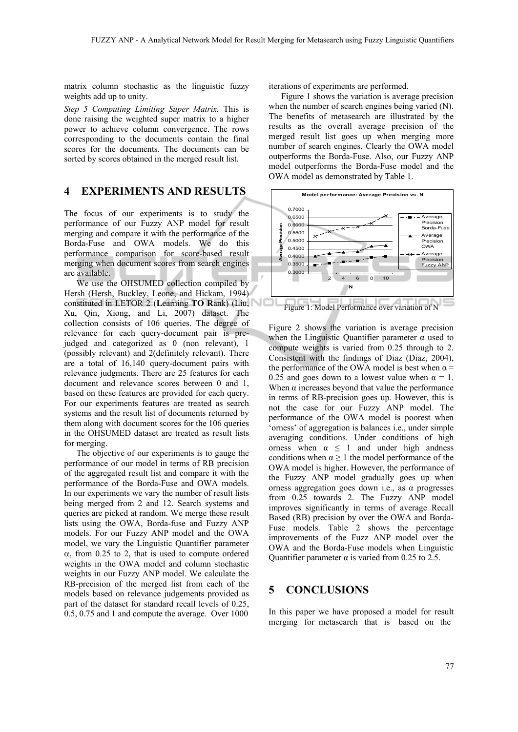matrix column stochastic as the linguistic fuzzy weights add up to unity.

*Step 5 Computing Limiting Super Matrix.* This is done raising the weighted super matrix to a higher power to achieve column convergence. The rows corresponding to the documents contain the final scores for the documents. The documents can be sorted by scores obtained in the merged result list.

# **4 EXPERIMENTS AND RESULTS**

The focus of our experiments is to study the performance of our Fuzzy ANP model for result merging and compare it with the performance of the Borda-Fuse and OWA models. We do this performance comparison for score-based result merging when document scores from search engines are available.

We use the OHSUMED collection compiled by Hersh (Hersh, Buckley, Leone, and Hickam, 1994) constituted in LETOR 2 (**L**earning **TO R**ank) (Liu, Xu, Qin, Xiong, and Li, 2007) dataset. The collection consists of 106 queries. The degree of relevance for each query-document pair is prejudged and categorized as 0 (non relevant), 1 (possibly relevant) and 2(definitely relevant). There are a total of 16,140 query-document pairs with relevance judgments. There are 25 features for each document and relevance scores between 0 and 1, based on these features are provided for each query. For our experiments features are treated as search systems and the result list of documents returned by them along with document scores for the 106 queries in the OHSUMED dataset are treated as result lists for merging.

The objective of our experiments is to gauge the performance of our model in terms of RB precision of the aggregated result list and compare it with the performance of the Borda-Fuse and OWA models. In our experiments we vary the number of result lists being merged from 2 and 12. Search systems and queries are picked at random. We merge these result lists using the OWA, Borda-fuse and Fuzzy ANP models. For our Fuzzy ANP model and the OWA model, we vary the Linguistic Quantifier parameter α, from 0.25 to 2, that is used to compute ordered weights in the OWA model and column stochastic weights in our Fuzzy ANP model. We calculate the RB-precision of the merged list from each of the models based on relevance judgements provided as part of the dataset for standard recall levels of 0.25, 0.5, 0.75 and 1 and compute the average. Over 1000

iterations of experiments are performed.

Figure 1 shows the variation is average precision when the number of search engines being varied (N). The benefits of metasearch are illustrated by the results as the overall average precision of the merged result list goes up when merging more number of search engines. Clearly the OWA model outperforms the Borda-Fuse. Also, our Fuzzy ANP model outperforms the Borda-Fuse model and the OWA model as demonstrated by Table 1.



Figure 2 shows the variation is average precision when the Linguistic Quantifier parameter  $\alpha$  used to compute weights is varied from 0.25 through to 2. Consistent with the findings of Diaz (Diaz, 2004), the performance of the OWA model is best when  $\alpha$  = 0.25 and goes down to a lowest value when  $\alpha = 1$ . When  $\alpha$  increases beyond that value the performance in terms of RB-precision goes up. However, this is not the case for our Fuzzy ANP model. The performance of the OWA model is poorest when 'orness' of aggregation is balances i.e., under simple averaging conditions. Under conditions of high orness when  $\alpha \leq 1$  and under high andness conditions when  $\alpha \geq 1$  the model performance of the OWA model is higher. However, the performance of the Fuzzy ANP model gradually goes up when orness aggregation goes down i.e., as α progresses from 0.25 towards 2. The Fuzzy ANP model improves significantly in terms of average Recall Based (RB) precision by over the OWA and Borda-Fuse models. Table 2 shows the percentage improvements of the Fuzz ANP model over the OWA and the Borda-Fuse models when Linguistic Quantifier parameter  $\alpha$  is varied from 0.25 to 2.5.

### **5 CONCLUSIONS**

In this paper we have proposed a model for result merging for metasearch that is based on the